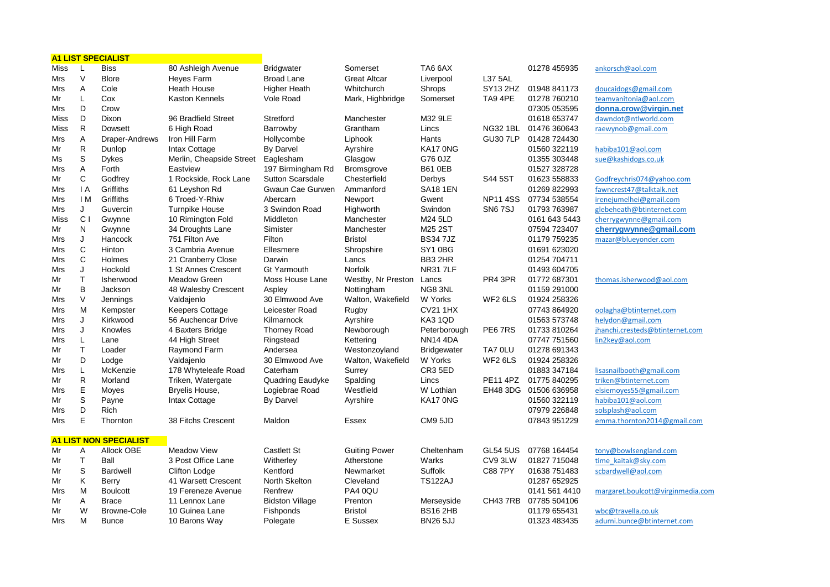|      |                | <b>A1 LIST SPECIALIST</b>     |                          |                         |                      |                    |                    |                       |                                   |
|------|----------------|-------------------------------|--------------------------|-------------------------|----------------------|--------------------|--------------------|-----------------------|-----------------------------------|
| Miss | L              | <b>Biss</b>                   | 80 Ashleigh Avenue       | <b>Bridgwater</b>       | Somerset             | TA6 6AX            |                    | 01278 455935          | ankorsch@aol.com                  |
| Mrs  | $\vee$         | <b>Blore</b>                  | Heyes Farm               | <b>Broad Lane</b>       | <b>Great Altcar</b>  | Liverpool          | <b>L37 5AL</b>     |                       |                                   |
| Mrs  | A              | Cole                          | Heath House              | Higher Heath            | Whitchurch           | Shrops             | SY13 2HZ           | 01948 841173          | doucaidogs@gmail.com              |
| Mr   | L              | Cox                           | <b>Kaston Kennels</b>    | Vole Road               | Mark, Highbridge     | Somerset           | TA9 4PE            | 01278 760210          | teamvanitonia@aol.com             |
| Mrs  | D              | Crow                          |                          |                         |                      |                    |                    | 07305 053595          | donna.crow@virgin.net             |
| Miss | D              | Dixon                         | 96 Bradfield Street      | Stretford               | Manchester           | M32 9LE            |                    | 01618 653747          | dawndot@ntlworld.com              |
| Miss | R              | <b>Dowsett</b>                | 6 High Road              | Barrowby                | Grantham             | Lincs              | <b>NG32 1BL</b>    | 01476 360643          | raewynob@gmail.com                |
| Mrs  | Α              | Draper-Andrews                | Iron Hill Farm           | Hollycombe              | Liphook              | Hants              | <b>GU30 7LP</b>    | 01428 724430          |                                   |
| Mr   | R.             | Dunlop                        | Intax Cottage            | <b>By Darvel</b>        | Ayrshire             | KA17 ONG           |                    | 01560 322119          | habiba101@aol.com                 |
| Ms   | S              | <b>Dykes</b>                  | Merlin, Cheapside Street | Eaglesham               | Glasgow              | G76 0JZ            |                    | 01355 303448          | sue@kashidogs.co.uk               |
| Mrs  | A              | Forth                         | Eastview                 | 197 Birmingham Rd       | <b>Bromsgrove</b>    | <b>B61 0EB</b>     |                    | 01527 328728          |                                   |
| Mr   | С              | Godfrey                       | 1 Rockside, Rock Lane    | <b>Sutton Scarsdale</b> | Chesterfield         | Derbys             | S44 5ST            | 01623 558833          | Godfreychris074@yahoo.com         |
| Mrs  | $\overline{A}$ | Griffiths                     | 61 Leyshon Rd            | Gwaun Cae Gurwen        | Ammanford            | <b>SA18 1EN</b>    |                    | 01269 822993          | fawncrest47@talktalk.net          |
| Mrs  | I M            | Griffiths                     | 6 Troed-Y-Rhiw           | Abercarn                | Newport              | Gwent              | <b>NP11 4SS</b>    | 07734 538554          | irenejumelhei@gmail.com           |
| Mrs  | J              | Guvercin                      | <b>Turnpike House</b>    | 3 Swindon Road          | Highworth            | Swindon            | <b>SN67SJ</b>      | 01793 763987          | glebeheath@btinternet.com         |
| Miss | C <sub>1</sub> | Gwynne                        | 10 Rimington Fold        | Middleton               | Manchester           | M24 5LD            |                    | 0161 643 5443         | cherrygwynne@gmail.com            |
| Mr   | N              | Gwynne                        | 34 Droughts Lane         | Simister                | Manchester           | M25 2ST            |                    | 07594 723407          | cherrygwynne@gmail.com            |
| Mrs  | J              | Hancock                       | 751 Filton Ave           | Filton                  | <b>Bristol</b>       | <b>BS347JZ</b>     |                    | 01179 759235          | mazar@blueyonder.com              |
| Mrs  | $\mathbf C$    | Hinton                        | 3 Cambria Avenue         | Ellesmere               | Shropshire           | SY10BG             |                    | 01691 623020          |                                   |
| Mrs  | С              | Holmes                        | 21 Cranberry Close       | Darwin                  | Lancs                | BB3 2HR            |                    | 01254 704711          |                                   |
| Mrs  | J              | Hockold                       | 1 St Annes Crescent      | <b>Gt Yarmouth</b>      | <b>Norfolk</b>       | <b>NR31 7LF</b>    |                    | 01493 604705          |                                   |
| Mr   | T              | Isherwood                     | <b>Meadow Green</b>      | Moss House Lane         | Westby, Nr Preston   | Lancs              | PR4 3PR            | 01772 687301          | thomas.isherwood@aol.com          |
| Mr   | B              | Jackson                       | 48 Walesby Crescent      | Aspley                  | Nottingham           | NG8 3NL            |                    | 01159 291000          |                                   |
| Mrs  | $\vee$         | Jennings                      | Valdajenlo               | 30 Elmwood Ave          | Walton, Wakefield    | W Yorks            | WF <sub>26LS</sub> | 01924 258326          |                                   |
| Mrs  | M              | Kempster                      | <b>Keepers Cottage</b>   | Leicester Road          | Rugby                | <b>CV21 1HX</b>    |                    | 07743 864920          | oolagha@btinternet.com            |
| Mrs  | J              | Kirkwood                      | 56 Auchencar Drive       | Kilmarnock              | Ayrshire             | KA3 1QD            |                    | 01563 573748          | helydon@gmail.com                 |
| Mrs  | J              | Knowles                       | 4 Baxters Bridge         | <b>Thorney Road</b>     | Newborough           | Peterborough       | PE67RS             | 01733 810264          | jhanchi.cresteds@btinternet.com   |
| Mrs  | L              | Lane                          | 44 High Street           | Ringstead               | Kettering            | <b>NN14 4DA</b>    |                    | 07747 751560          | lin2key@aol.com                   |
| Mr   | $\mathsf{T}$   | Loader                        | Raymond Farm             | Andersea                | Westonzoyland        | <b>Bridgewater</b> | TA7 0LU            | 01278 691343          |                                   |
| Mr   | D              | Lodge                         | Valdajenlo               | 30 Elmwood Ave          | Walton, Wakefield    | W Yorks            | WF2 6LS            | 01924 258326          |                                   |
| Mrs  | Г              | McKenzie                      | 178 Whyteleafe Road      | Caterham                | Surrey               | CR3 5ED            |                    | 01883 347184          | lisasnailbooth@gmail.com          |
| Mr   | R              | Morland                       | Triken, Watergate        | Quadring Eaudyke        | Spalding             | Lincs              | <b>PE11 4PZ</b>    | 01775 840295          | triken@btinternet.com             |
| Mrs  | E              | Moyes                         | Bryelis House,           | Logiebrae Road          | Westfield            | W Lothian          |                    | EH48 3DG 01506 636958 | elsiemoves55@gmail.com            |
| Mr   | S              | Payne                         | Intax Cottage            | By Darvel               | Ayrshire             | KA17 0NG           |                    | 01560 322119          | habiba101@aol.com                 |
| Mrs  | D              | Rich                          |                          |                         |                      |                    |                    | 07979 226848          | solsplash@aol.com                 |
| Mrs  | E              | Thornton                      | 38 Fitchs Crescent       | Maldon                  | Essex                | CM9 <sub>5JD</sub> |                    | 07843 951229          | emma.thornton2014@gmail.com       |
|      |                | <b>A1 LIST NON SPECIALIST</b> |                          |                         |                      |                    |                    |                       |                                   |
| Mr   | Α              | Allock OBE                    | Meadow View              | <b>Castlett St</b>      | <b>Guiting Power</b> | Cheltenham         | <b>GL54 5US</b>    | 07768 164454          | tony@bowlsengland.com             |
| Mr   | $\mathsf{T}$   | Ball                          | 3 Post Office Lane       | Witherley               | Atherstone           | Warks              | CV9 3LW            | 01827 715048          | time kaitak@sky.com               |
| Mr   | S              | <b>Bardwell</b>               | Clifton Lodge            | Kentford                | Newmarket            | Suffolk            | <b>C88 7PY</b>     | 01638 751483          | scbardwell@aol.com                |
| Mr   | Κ              | Berry                         | 41 Warsett Crescent      | North Skelton           | Cleveland            | <b>TS122AJ</b>     |                    | 01287 652925          |                                   |
| Mrs  | M              | <b>Boulcott</b>               | 19 Fereneze Avenue       | Renfrew                 | PA4 0QU              |                    |                    | 0141 561 4410         | margaret.boulcott@virginmedia.com |
| Mr   | Α              | <b>Brace</b>                  | 11 Lennox Lane           | <b>Bidston Village</b>  | Prenton              | Merseyside         | CH43 7RB           | 07785 504106          |                                   |
| Mr   | W              | Browne-Cole                   | 10 Guinea Lane           | Fishponds               | <b>Bristol</b>       | <b>BS16 2HB</b>    |                    | 01179 655431          | wbc@travella.co.uk                |
| Mrs  | М              | <b>Bunce</b>                  | 10 Barons Way            | Polegate                | E Sussex             | <b>BN26 5JJ</b>    |                    | 01323 483435          | adurni.bunce@btinternet.com       |

the control of the control of the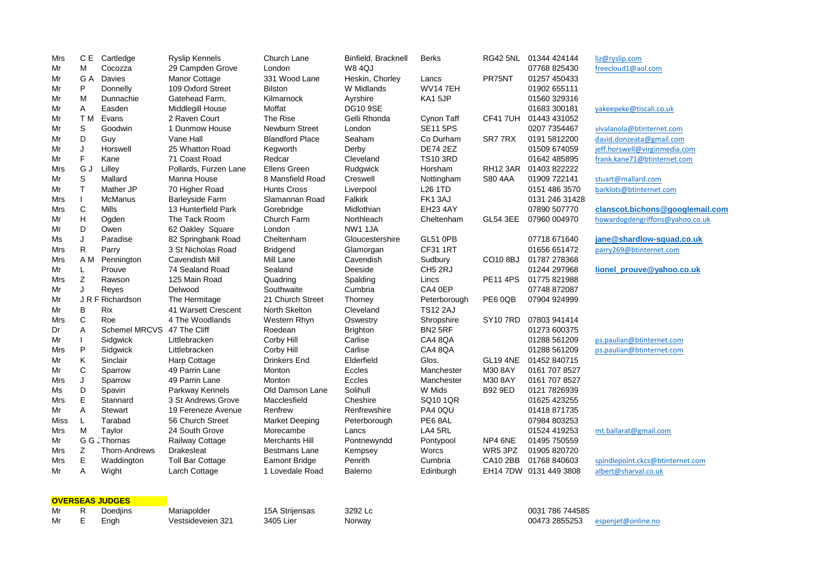| Mrs        | C E            | Cartledge                  | <b>Ryslip Kennels</b>             | Church Lane             | Binfield, Bracknell             | <b>Berks</b>        |                 | RG42 5NL 01344 424144        | liz@ryslip.com                   |
|------------|----------------|----------------------------|-----------------------------------|-------------------------|---------------------------------|---------------------|-----------------|------------------------------|----------------------------------|
| Mr<br>Mr   | M<br>G A       | Cocozza<br>Davies          | 29 Campden Grove<br>Manor Cottage | London<br>331 Wood Lane | <b>W84QJ</b><br>Heskin, Chorley | Lancs               | PR75NT          | 07768 825430<br>01257 450433 | freecloud1@aol.com               |
| Mr         | P              | Donnelly                   | 109 Oxford Street                 | <b>Bilston</b>          | W Midlands                      | <b>WV147EH</b>      |                 | 01902 655111                 |                                  |
| Mr         | м              | Dunnachie                  | Gatehead Farm,                    | Kilmarnock              | Ayrshire                        | KA1 5JP             |                 | 01560 329316                 |                                  |
| Mr         | Α              | Easden                     | Middlegill House                  | Moffat                  | <b>DG10 9SE</b>                 |                     |                 | 01683 300181                 | yakeepeke@tiscali.co.uk          |
| Mr         | T M            | Evans                      | 2 Raven Court                     | The Rise                | Gelli Rhonda                    | Cynon Taff          | <b>CF41 7UH</b> | 01443 431052                 |                                  |
| Mr         | S              | Goodwin                    | 1 Dunmow House                    | Newburn Street          | London                          | <b>SE11 5PS</b>     |                 | 0207 7354467                 | vivalanola@btinternet.com        |
| Mr         | D              | Guy                        | Vane Hall                         | <b>Blandford Place</b>  | Seaham                          | Co Durham           | SR77RX          | 0191 5812200                 | david.donzeata@gmail.com         |
| Mr         | J              | Horswell                   | 25 Whatton Road                   | Kegworth                | Derby                           | <b>DE74 2EZ</b>     |                 | 01509 674059                 | jeff.horswell@virginmedia.com    |
| Mr         | F              | Kane                       | 71 Coast Road                     | Redcar                  | Cleveland                       | <b>TS10 3RD</b>     |                 | 01642 485895                 | frank.kane71@btinternet.com      |
| Mrs        | G J            | Lilley                     | Pollards, Furzen Lane             | Ellens Green            | Rudgwick                        | Horsham             | <b>RH12 3AR</b> | 01403 822222                 |                                  |
| Mr         | S              | Mallard                    | Manna House                       | 8 Mansfield Road        | Creswell                        | Nottingham          | S80 4AA         | 01909 722141                 | stuart@mallard.com               |
| Mr         | T.             | Mather JP                  | 70 Higher Road                    | <b>Hunts Cross</b>      | Liverpool                       | L <sub>26</sub> 1TD |                 | 0151 486 3570                | barklots@btinternet.com          |
| Mrs        | $\overline{1}$ | <b>McManus</b>             | <b>Barleyside Farm</b>            | Slamannan Road          | Falkirk                         | FK13AJ              |                 | 0131 246 31428               |                                  |
| <b>Mrs</b> | $\mathsf C$    | Mills                      | 13 Hunterfield Park               | Gorebridge              | Midlothian                      | <b>EH23 4AY</b>     |                 | 07890 507770                 | clanscot.bichons@googlemail.com  |
| Mr         | Н              | Ogden                      | The Tack Room                     | Church Farm             | Northleach                      | Cheltenham          | <b>GL54 3EE</b> | 07960 004970                 | howardogdengriffons@yahoo.co.uk  |
| Mr         | D              | Owen                       | 62 Oakley Square                  | London                  | NW1 1JA                         |                     |                 |                              |                                  |
| Ms         | J              | Paradise                   | 82 Springbank Road                | Cheltenham              | Gloucestershire                 | <b>GL51 0PB</b>     |                 | 07718 671640                 | jane@shardlow-squad.co.uk        |
| Mrs        | R              | Parry                      | 3 St Nicholas Road                | <b>Bridgend</b>         | Glamorgan                       | <b>CF31 1RT</b>     |                 | 01656 651472                 | parry269@btinternet.com          |
| Mrs        | A M            | Pennington                 | Cavendish Mill                    | Mill Lane               | Cavendish                       | Sudbury             | CO10 8BJ        | 01787 278368                 |                                  |
| Mr         | L              | Prouve                     | 74 Sealand Road                   | Sealand                 | Deeside                         | CH5 2RJ             |                 | 01244 297968                 | lionel_prouve@yahoo.co.uk        |
| Mrs        | Z              | Rawson                     | 125 Main Road                     | Quadring                | Spalding                        | Lincs               | <b>PE11 4PS</b> | 01775 821988                 |                                  |
| Mr         | J              | Reyes                      | Delwood                           | Southwaite              | Cumbria                         | CA4 0EP             |                 | 07748 872087                 |                                  |
| Mr         |                | J R F Richardson           | The Hermitage                     | 21 Church Street        | Thorney                         | Peterborough        | PE6 0QB         | 07904 924999                 |                                  |
| Mr         | B              | <b>Rix</b>                 | 41 Warsett Crescent               | North Skelton           | Cleveland                       | <b>TS12 2AJ</b>     |                 |                              |                                  |
| Mrs        | C              | Roe                        | 4 The Woodlands                   | Western Rhyn            | Oswestry                        | Shropshire          | <b>SY10 7RD</b> | 07803 941414                 |                                  |
| Dr         | Α              | Schemel MRCVS 47 The Cliff |                                   | Roedean                 | <b>Brighton</b>                 | <b>BN2 5RF</b>      |                 | 01273 600375                 |                                  |
| Mr         |                | Sidgwick                   | Littlebracken                     | Corby Hill              | Carlise                         | CA4 8QA             |                 | 01288 561209                 | ps.paulian@btinternet.com        |
| Mrs        | P              | Sidgwick                   | Littlebracken                     | Corby Hill              | Carlise                         | CA4 8QA             |                 | 01288 561209                 | ps.paulian@btinternet.com        |
| Mr         | Κ              | Sinclair                   | Harp Cottage                      | <b>Drinkers End</b>     | Elderfield                      | Glos.               | <b>GL19 4NE</b> | 01452 840715                 |                                  |
| Mr         | C              | Sparrow                    | 49 Parrin Lane                    | Monton                  | Eccles                          | Manchester          | M30 8AY         | 0161 707 8527                |                                  |
| <b>Mrs</b> | J              | Sparrow                    | 49 Parrin Lane                    | Monton                  | Eccles                          | Manchester          | M30 8AY         | 0161 707 8527                |                                  |
| Ms         | D              | Spavin                     | Parkway Kennels                   | Old Damson Lane         | Solihull                        | W Mids              | <b>B92 9ED</b>  | 0121 7826939                 |                                  |
| Mrs        | $\mathsf E$    | Stannard                   | 3 St Andrews Grove                | Macclesfield            | Cheshire                        | SQ10 1QR            |                 | 01625 423255                 |                                  |
| Mr         | A              | Stewart                    | 19 Fereneze Avenue                | Renfrew                 | Renfrewshire                    | PA4 0QU             |                 | 01418 871735                 |                                  |
| Miss       | L              | Tarabad                    | 56 Church Street                  | <b>Market Deeping</b>   | Peterborough                    | PE6 8AL             |                 | 07984 803253                 |                                  |
| Mrs        | M              | Taylor                     | 24 South Grove                    | Morecambe               | Lancs                           | LA4 5RL             |                 | 01524 419253                 | mt.ballarat@gmail.com            |
| Mr         |                | G G . Thomas               | Railway Cottage                   | Merchants Hill          | Pontnewyndd                     | Pontypool           | NP4 6NE         | 01495 750559                 |                                  |
| Mrs        | Z              | Thorn-Andrews              | Drakesleat                        | <b>Bestmans Lane</b>    | Kempsey                         | Worcs               | WR5 3PZ         | 01905 820720                 |                                  |
| Mrs        | Е              | Waddington                 | <b>Toll Bar Cottage</b>           | Eamont Bridge           | Penrith                         | Cumbria             | <b>CA10 2BB</b> | 01768 840603                 | spindlepoint.ckcs@btinternet.com |
| Mr         | A              | Wight                      | Larch Cottage                     | 1 Lovedale Road         | <b>Balerno</b>                  | Edinburgh           |                 | EH14 7DW 0131 449 3808       | albert@sharval.co.uk             |
|            |                | <b>OVERSEAS JUDGES</b>     |                                   |                         |                                 |                     |                 |                              |                                  |
| Mr         | R              | Doedjins                   | Mariapolder                       | 15A Strijensas          | 3292 Lc                         |                     |                 | 0031 786 744585              |                                  |
| Mr         | E              | Engh                       | Vestsideveien 321                 | 3405 Lier               | Norway                          |                     |                 | 00473 2855253                | espenjet@online.no               |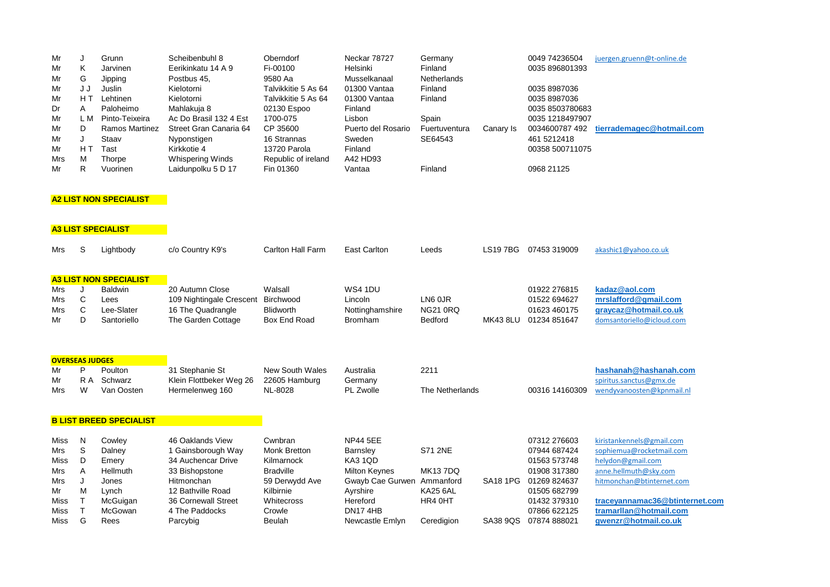| Mr  |     | Grunn                 | Scheibenbuhl 8         | Oberndorf           | Neckar 78727       | Germany            |           | 0049 74236504   | juergen.gruenn@t-online.de |
|-----|-----|-----------------------|------------------------|---------------------|--------------------|--------------------|-----------|-----------------|----------------------------|
| Mr  | Κ   | Jarvinen              | Eerikinkatu 14 A 9     | Fi-00100            | Helsinki           | Finland            |           | 0035 896801393  |                            |
| Mr  | G   | Jipping               | Postbus 45,            | 9580 Aa             | Musselkanaal       | <b>Netherlands</b> |           |                 |                            |
| Mr  | JJ  | Juslin                | Kielotorni             | Talvikkitie 5 As 64 | 01300 Vantaa       | Finland            |           | 0035 8987036    |                            |
| Mr  | НJ  | Lehtinen              | Kielotorni             | Talvikkitie 5 As 64 | 01300 Vantaa       | Finland            |           | 0035 8987036    |                            |
| Dr  | A   | Paloheimo             | Mahlakuja 8            | 02130 Espoo         | Finland            |                    |           | 0035 8503780683 |                            |
| Mr  | L M | Pinto-Teixeira        | Ac Do Brasil 132 4 Est | 1700-075            | Lisbon             | Spain              |           | 0035 1218497907 |                            |
| Mr  | D   | <b>Ramos Martinez</b> | Street Gran Canaria 64 | CP 35600            | Puerto del Rosario | Fuertuventura      | Canary Is | 0034600787492   | tierrademagec@hotmail.com  |
| Mr  |     | Staav                 | Nyponstigen            | 16 Strannas         | Sweden             | SE64543            |           | 461 5212418     |                            |
| Mr  | НT  | Tast                  | Kirkkotie 4            | 13720 Parola        | Finland            |                    |           | 00358 500711075 |                            |
| Mrs | M   | Thorpe                | Whispering Winds       | Republic of ireland | A42 HD93           |                    |           |                 |                            |
| Mr  | R   | Vuorinen              | Laidunpolku 5 D 17     | Fin 01360           | Vantaa             | Finland            |           | 0968 21125      |                            |

## **A2 LIST NON SPECIALIST**

| <b>A3 LIST SPECIALIST</b>                                                                                                           |                                 |                                                                                        |                                                                                                                                                                        |                                                                                                                                          |                                                                                                                                                    |                                                                              |                             |                                                                                                                                              |                                                                                                                                                                                                                      |
|-------------------------------------------------------------------------------------------------------------------------------------|---------------------------------|----------------------------------------------------------------------------------------|------------------------------------------------------------------------------------------------------------------------------------------------------------------------|------------------------------------------------------------------------------------------------------------------------------------------|----------------------------------------------------------------------------------------------------------------------------------------------------|------------------------------------------------------------------------------|-----------------------------|----------------------------------------------------------------------------------------------------------------------------------------------|----------------------------------------------------------------------------------------------------------------------------------------------------------------------------------------------------------------------|
| Mrs                                                                                                                                 | S                               | Lightbody                                                                              | c/o Country K9's                                                                                                                                                       | Carlton Hall Farm                                                                                                                        | <b>East Carlton</b>                                                                                                                                | Leeds                                                                        | <b>LS197BG</b>              | 07453 319009                                                                                                                                 | akashic1@yahoo.co.uk                                                                                                                                                                                                 |
| <b>A3 LIST NON SPECIALIST</b><br><b>Baldwin</b><br>Mrs<br>J<br>C<br>Lees<br>Mrs<br>C<br>Lee-Slater<br>Mrs<br>D<br>Mr<br>Santoriello |                                 |                                                                                        | 20 Autumn Close<br>109 Nightingale Crescent<br>16 The Quadrangle<br>The Garden Cottage                                                                                 | Walsall<br>Birchwood<br><b>Blidworth</b><br>Box End Road                                                                                 | <b>WS4 1DU</b><br>Lincoln<br>Nottinghamshire<br><b>Bromham</b>                                                                                     | LN6 0JR<br><b>NG21 0RQ</b><br><b>Bedford</b>                                 | <b>MK43 8LU</b>             | 01922 276815<br>01522 694627<br>01623 460175<br>01234 851647                                                                                 | kadaz@aol.com<br>mrslafford@gmail.com<br>graycaz@hotmail.co.uk<br>domsantoriello@icloud.com                                                                                                                          |
| <b>OVERSEAS JUDGES</b><br>Mr<br>Mr<br>Mrs                                                                                           | P<br>R A<br>W                   | Poulton<br>Schwarz<br>Van Oosten                                                       | 31 Stephanie St<br>Klein Flottbeker Weg 26<br>Hermelenweg 160                                                                                                          | <b>New South Wales</b><br>22605 Hamburg<br>NL-8028                                                                                       | Australia<br>Germany<br><b>PL Zwolle</b>                                                                                                           | 2211<br>The Netherlands                                                      |                             | 00316 14160309                                                                                                                               | hashanah@hashanah.com<br>spiritus.sanctus@gmx.de<br>wendyvanoosten@kpnmail.nl                                                                                                                                        |
|                                                                                                                                     |                                 | <b>B LIST BREED SPECIALIST</b>                                                         |                                                                                                                                                                        |                                                                                                                                          |                                                                                                                                                    |                                                                              |                             |                                                                                                                                              |                                                                                                                                                                                                                      |
| Miss<br>Mrs<br>Miss<br>Mrs<br>Mrs<br>Mr<br>Miss<br>Miss<br>Miss                                                                     | N<br>S<br>D<br>A<br>J<br>M<br>G | Cowley<br>Dalney<br>Emery<br>Hellmuth<br>Jones<br>Lynch<br>McGuigan<br>McGowan<br>Rees | 46 Oaklands View<br>1 Gainsborough Way<br>34 Auchencar Drive<br>33 Bishopstone<br>Hitmonchan<br>12 Bathville Road<br>36 Cornewall Street<br>4 The Paddocks<br>Parcybig | Cwnbran<br><b>Monk Bretton</b><br>Kilmarnock<br><b>Bradville</b><br>59 Derwydd Ave<br>Kilbirnie<br>Whitecross<br>Crowle<br><b>Beulah</b> | <b>NP44 5EE</b><br>Barnsley<br>KA3 1QD<br><b>Milton Keynes</b><br>Gwayb Cae Gurwen Ammanford<br>Ayrshire<br>Hereford<br>DN174HB<br>Newcastle Emlyn | <b>S71 2NE</b><br><b>MK137DQ</b><br><b>KA25 6AL</b><br>HR4 0HT<br>Ceredigion | <b>SA18 1PG</b><br>SA38 9QS | 07312 276603<br>07944 687424<br>01563 573748<br>01908 317380<br>01269 824637<br>01505 682799<br>01432 379310<br>07866 622125<br>07874 888021 | kiristankennels@gmail.com<br>sophiemua@rocketmail.com<br>helydon@gmail.com<br>anne.hellmuth@sky.com<br>hitmonchan@btinternet.com<br>traceyannamac36@btinternet.com<br>tramarllan@hotmail.com<br>gwenzr@hotmail.co.uk |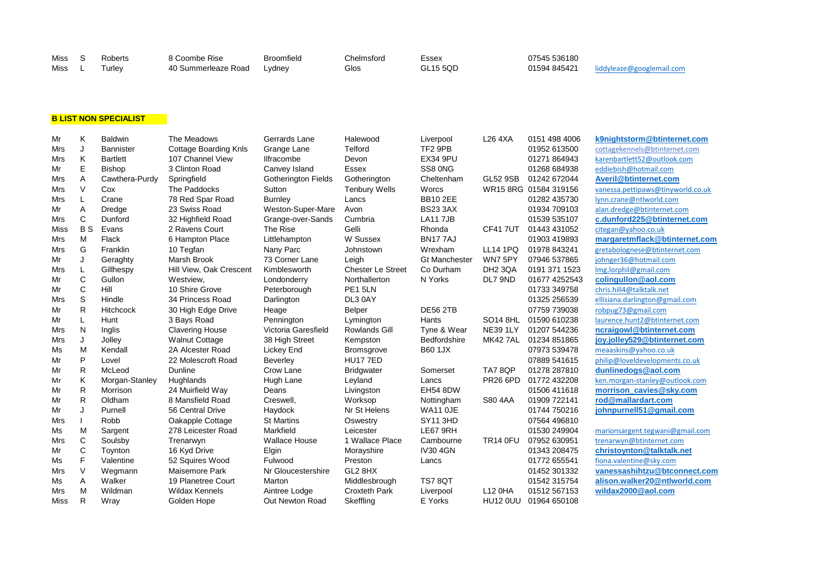| Miss | Roberts | . Coombe Rise       | <b>Broomfield</b> | Chelmsford | Essex           | 07545 536180 |                           |
|------|---------|---------------------|-------------------|------------|-----------------|--------------|---------------------------|
| Miss | urlev   | 40 Summerleaze Road | Lydney            | Glos       | <b>GL15 5OD</b> | 01594 845421 | liddyleaze@googlemail.com |

## **B LIST NON SPECIALIST**

| Mr         | K            | <b>Baldwin</b>   | The Meadows                  | Gerrards Lane              | Halewood                 | Liverpool            | L26 4XA             | 0151 498 4006         | k9nightstorm@btinternet.com       |
|------------|--------------|------------------|------------------------------|----------------------------|--------------------------|----------------------|---------------------|-----------------------|-----------------------------------|
| Mrs        | J            | <b>Bannister</b> | <b>Cottage Boarding Knls</b> | Grange Lane                | Telford                  | TF2 9PB              |                     | 01952 613500          | cottagekennels@btinternet.com     |
| Mrs        | K            | <b>Bartlett</b>  | 107 Channel View             | Ilfracombe                 | Devon                    | <b>EX34 9PU</b>      |                     | 01271 864943          | karenbartlett52@outlook.com       |
| Mr         | E            | <b>Bishop</b>    | 3 Clinton Road               | Canvey Island              | Essex                    | SS8 0NG              |                     | 01268 684938          | eddiebish@hotmail.com             |
| Mrs        | A            | Cawthera-Purdy   | Springfield                  | <b>Gotherington Fields</b> | Gotherington             | Cheltenham           | GL52 9SB            | 01242 672044          | Averil@btinternet.com             |
| Mrs        | $\vee$       | Cox              | The Paddocks                 | Sutton                     | Tenbury Wells            | Worcs                |                     | WR15 8RG 01584 319156 | vanessa.pettipaws@tinyworld.co.uk |
| Mrs        |              | Crane            | 78 Red Spar Road             | <b>Burnley</b>             | Lancs                    | <b>BB10 2EE</b>      |                     | 01282 435730          | lynn.crane@ntlworld.com           |
| Mr         | A            | Dredge           | 23 Swiss Road                | Weston-Super-Mare          | Avon                     | <b>BS23 3AX</b>      |                     | 01934 709103          | alan.dredge@btinternet.com        |
| <b>Mrs</b> | $\mathsf{C}$ | Dunford          | 32 Highfield Road            | Grange-over-Sands          | Cumbria                  | <b>LA11 7JB</b>      |                     | 01539 535107          | c.dunford225@btinternet.com       |
| Miss       | <b>BS</b>    | Evans            | 2 Ravens Court               | The Rise                   | Gelli                    | Rhonda               | <b>CF41 7UT</b>     | 01443 431052          | citegan@yahoo.co.uk               |
| <b>Mrs</b> | M            | Flack            | 6 Hampton Place              | Littlehampton              | W Sussex                 | <b>BN177AJ</b>       |                     | 01903 419893          | margaretmflack@btinternet.com     |
| <b>Mrs</b> | G            | Franklin         | 10 Tegfan                    | Nany Parc                  | Johnstown                | Wrexham              | <b>LL14 1PQ</b>     | 01978 843241          | gretabolognese@btinternet.com     |
| Mr         | J            | Geraghty         | Marsh Brook                  | 73 Corner Lane             | Leigh                    | <b>Gt Manchester</b> | WN75PY              | 07946 537865          | johnger36@hotmail.com             |
| <b>Mrs</b> |              | Gillhespy        | Hill View, Oak Crescent      | Kimblesworth               | <b>Chester Le Street</b> | Co Durham            | DH <sub>2</sub> 3QA | 0191 371 1523         | Img.lorphil@gmail.com             |
| Mr         | $\mathsf{C}$ | Gullon           | Westview,                    | Londonderry                | Northallerton            | N Yorks              | DL7 9ND             | 01677 4252543         | colingullon@aol.com               |
| Mr         | $\mathsf{C}$ | Hill             | 10 Shire Grove               | Peterborough               | PE1 5LN                  |                      |                     | 01733 349758          | chris.hill4@talktalk.net          |
| Mrs        | S            | Hindle           | 34 Princess Road             | Darlington                 | DL3 0AY                  |                      |                     | 01325 256539          | ellisiana.darlington@gmail.com    |
| Mr         | $\mathsf{R}$ | <b>Hitchcock</b> | 30 High Edge Drive           | Heage                      | Belper                   | <b>DE56 2TB</b>      |                     | 07759 739038          | robpug73@gmail.com                |
| Mr         | L            | Hunt             | 3 Bays Road                  | Pennington                 | Lymington                | Hants                | <b>SO14 8HL</b>     | 01590 610238          | laurence.hunt2@btinternet.com     |
| Mrs        | N            | Inglis           | <b>Clavering House</b>       | Victoria Garesfield        | Rowlands Gill            | Tyne & Wear          | <b>NE39 1LY</b>     | 01207 544236          | ncraigowl@btinternet.com          |
| Mrs        | J            | Jolley           | <b>Walnut Cottage</b>        | 38 High Street             | Kempston                 | Bedfordshire         | MK42 7AL            | 01234 851865          | joy.jolley529@btinternet.com      |
| Ms         | M            | Kendall          | 2A Alcester Road             | Lickey End                 | <b>Bromsgrove</b>        | <b>B60 1JX</b>       |                     | 07973 539478          | meaaskins@yahoo.co.uk             |
| Mr         | P            | Lovel            | 22 Molescroft Road           | Beverley                   | <b>HU177ED</b>           |                      |                     | 07889 541615          | philip@loveldevelopments.co.uk    |
| Mr         | R            | McLeod           | Dunline                      | Crow Lane                  | <b>Bridgwater</b>        | Somerset             | <b>TA7 8QP</b>      | 01278 287810          | dunlinedogs@aol.com               |
| Mr         | Κ            | Morgan-Stanley   | Hughlands                    | Hugh Lane                  | Leyland                  | Lancs                | <b>PR26 6PD</b>     | 01772 432208          | ken.morgan-stanley@outlook.com    |
| Mr         | $\mathsf{R}$ | Morrison         | 24 Muirfield Way             | Deans                      | Livingston               | EH54 8DW             |                     | 01506 411618          | morrison_cavies@sky.com           |
| Mr         | $\mathsf{R}$ | Oldham           | 8 Mansfield Road             | Creswell,                  | Worksop                  | Nottingham           | S80 4AA             | 01909 722141          | rod@mallardart.com                |
| Mr         | J            | Purnell          | 56 Central Drive             | Haydock                    | Nr St Helens             | <b>WA11 OJE</b>      |                     | 01744 750216          | johnpurnell51@gmail.com           |
| Mrs        |              | Robb             | Oakapple Cottage             | <b>St Martins</b>          | Oswestry                 | SY11 3HD             |                     | 07564 496810          |                                   |
| Ms         | М            | Sargent          | 278 Leicester Road           | Markfield                  | Leicester                | LE67 9RH             |                     | 01530 249904          | marionsargent.tegwani@gmail.com   |
| Mrs        | C            | Soulsby          | Trenarwyn                    | <b>Wallace House</b>       | 1 Wallace Place          | Cambourne            | <b>TR14 0FU</b>     | 07952 630951          | trenarwyn@btinternet.com          |
| Mr         | C            | Toynton          | 16 Kyd Drive                 | Elgin                      | Morayshire               | <b>IV30 4GN</b>      |                     | 01343 208475          | christoynton@talktalk.net         |
| Ms         | F            | Valentine        | 52 Squires Wood              | Fulwood                    | Preston                  | Lancs                |                     | 01772 655541          | fiona.valentine@sky.com           |
| Mrs        | $\vee$       | Wegmann          | <b>Maisemore Park</b>        | Nr Gloucestershire         | GL2 8HX                  |                      |                     | 01452 301332          | vanessashihtzu@btconnect.com      |
| Ms         | A            | Walker           | 19 Planetree Court           | Marton                     | Middlesbrough            | <b>TS7 8QT</b>       |                     | 01542 315754          | alison.walker20@ntlworld.com      |
| <b>Mrs</b> | M            | Wildman          | <b>Wildax Kennels</b>        | Aintree Lodge              | <b>Croxteth Park</b>     | Liverpool            | L12 0HA             | 01512 567153          | wildax2000@aol.com                |
| Miss       | R            | Wray             | Golden Hope                  | Out Newton Road            | Skeffling                | E Yorks              | <b>HU12 0UU</b>     | 01964 650108          |                                   |